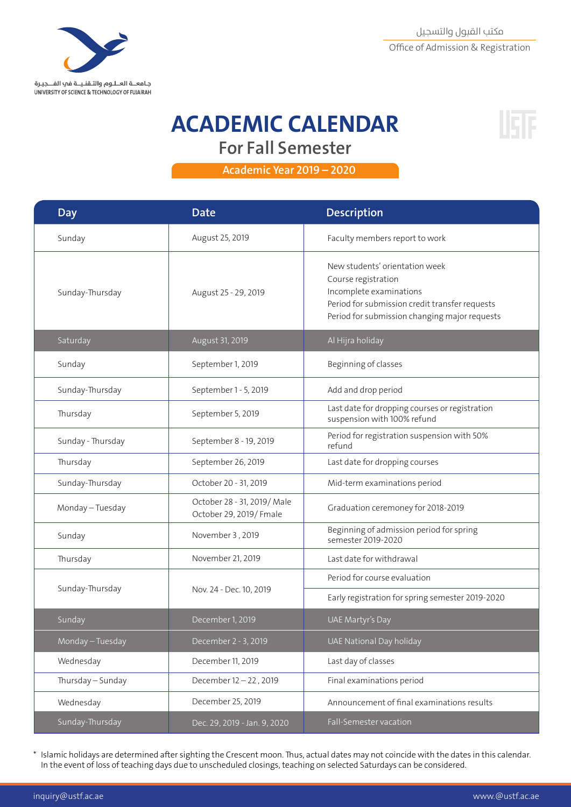

### **ACADEMIC CALENDAR For Fall Semester**



 **2020 – 2019 Year Academic** 

| <b>Day</b>        | <b>Date</b>                                           | Description                                                                                                                                                                         |
|-------------------|-------------------------------------------------------|-------------------------------------------------------------------------------------------------------------------------------------------------------------------------------------|
| Sunday            | August 25, 2019                                       | Faculty members report to work                                                                                                                                                      |
| Sunday-Thursday   | August 25 - 29, 2019                                  | New students' orientation week<br>Course registration<br>Incomplete examinations<br>Period for submission credit transfer requests<br>Period for submission changing major requests |
| Saturday          | August 31, 2019                                       | Al Hijra holiday                                                                                                                                                                    |
| Sunday            | September 1, 2019                                     | Beginning of classes                                                                                                                                                                |
| Sunday-Thursday   | September 1 - 5, 2019                                 | Add and drop period                                                                                                                                                                 |
| Thursday          | September 5, 2019                                     | Last date for dropping courses or registration<br>suspension with 100% refund                                                                                                       |
| Sunday - Thursday | September 8 - 19, 2019                                | Period for registration suspension with 50%<br>refund                                                                                                                               |
| Thursday          | September 26, 2019                                    | Last date for dropping courses                                                                                                                                                      |
| Sunday-Thursday   | October 20 - 31, 2019                                 | Mid-term examinations period                                                                                                                                                        |
| Monday - Tuesday  | October 28 - 31, 2019/ Male<br>October 29, 2019/Fmale | Graduation ceremoney for 2018-2019                                                                                                                                                  |
| Sunday            | November 3, 2019                                      | Beginning of admission period for spring<br>semester 2019-2020                                                                                                                      |
| Thursday          | November 21, 2019                                     | Last date for withdrawal                                                                                                                                                            |
| Sunday-Thursday   | Nov. 24 - Dec. 10, 2019                               | Period for course evaluation                                                                                                                                                        |
|                   |                                                       | Early registration for spring semester 2019-2020                                                                                                                                    |
| Sunday            | December 1, 2019                                      | UAE Martyr's Day                                                                                                                                                                    |
| Monday - Tuesday  | December 2 - 3, 2019                                  | UAE National Day holiday                                                                                                                                                            |
| Wednesday         | December 11, 2019                                     | Last day of classes                                                                                                                                                                 |
| Thursday - Sunday | December 12-22, 2019                                  | Final examinations period                                                                                                                                                           |
| Wednesday         | December 25, 2019                                     | Announcement of final examinations results                                                                                                                                          |
| Sunday-Thursday   | Dec. 29, 2019 - Jan. 9, 2020                          | Fall-Semester vacation                                                                                                                                                              |

\* Islamic holidays are determined after sighting the Crescent moon. Thus, actual dates may not coincide with the dates in this calendar. In the event of loss of teaching days due to unscheduled closings, teaching on selected Saturdays can be considered.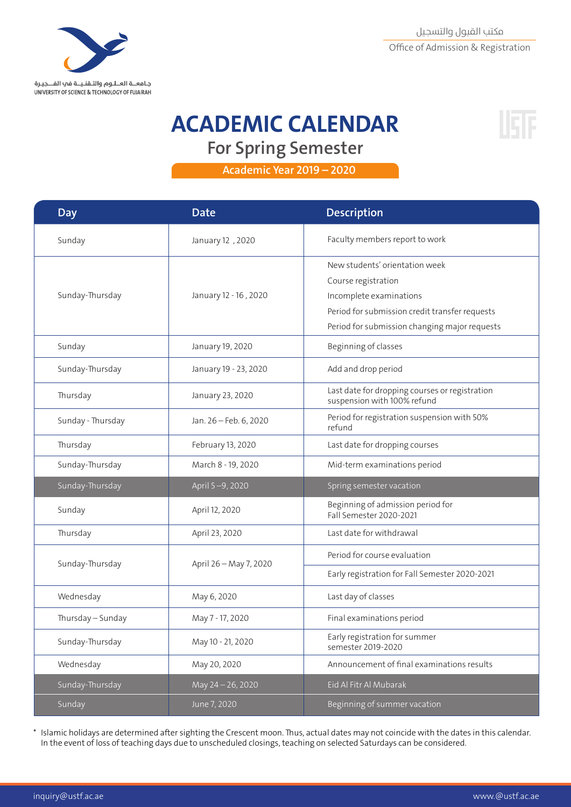

# **ACADEMIC CALENDAR**



**For Spring Semester** 

 **2020 – 2019 Year Academic** 

| Day               | <b>Date</b>            | <b>Description</b>                                                                                                                                                                  |
|-------------------|------------------------|-------------------------------------------------------------------------------------------------------------------------------------------------------------------------------------|
| Sunday            | January 12, 2020       | Faculty members report to work                                                                                                                                                      |
| Sunday-Thursday   | January 12 - 16, 2020  | New students' orientation week<br>Course registration<br>Incomplete examinations<br>Period for submission credit transfer requests<br>Period for submission changing major requests |
| Sunday            | January 19, 2020       | Beginning of classes                                                                                                                                                                |
| Sunday-Thursday   | January 19 - 23, 2020  | Add and drop period                                                                                                                                                                 |
| Thursday          | January 23, 2020       | Last date for dropping courses or registration<br>suspension with 100% refund                                                                                                       |
| Sunday - Thursday | Jan. 26 - Feb. 6, 2020 | Period for registration suspension with 50%<br>refund                                                                                                                               |
| Thursday          | February 13, 2020      | Last date for dropping courses                                                                                                                                                      |
| Sunday-Thursday   | March 8 - 19, 2020     | Mid-term examinations period                                                                                                                                                        |
| Sunday-Thursday   | April 5-9, 2020        | Spring semester vacation                                                                                                                                                            |
| Sunday            | April 12, 2020         | Beginning of admission period for<br>Fall Semester 2020-2021                                                                                                                        |
| Thursday          | April 23, 2020         | Last date for withdrawal                                                                                                                                                            |
| Sunday-Thursday   | April 26 - May 7, 2020 | Period for course evaluation                                                                                                                                                        |
|                   |                        | Early registration for Fall Semester 2020-2021                                                                                                                                      |
| Wednesday         | May 6, 2020            | Last day of classes                                                                                                                                                                 |
| Thursday - Sunday | May 7 - 17, 2020       | Final examinations period                                                                                                                                                           |
| Sunday-Thursday   | May 10 - 21, 2020      | Early registration for summer<br>semester 2019-2020                                                                                                                                 |
| Wednesday         | May 20, 2020           | Announcement of final examinations results                                                                                                                                          |
| Sunday-Thursday   | May 24 - 26, 2020      | Eid Al Fitr Al Mubarak                                                                                                                                                              |
| Sunday            | June 7, 2020           | Beginning of summer vacation                                                                                                                                                        |

\* Islamic holidays are determined after sighting the Crescent moon. Thus, actual dates may not coincide with the dates in this calendar. In the event of loss of teaching days due to unscheduled closings, teaching on selected Saturdays can be considered.